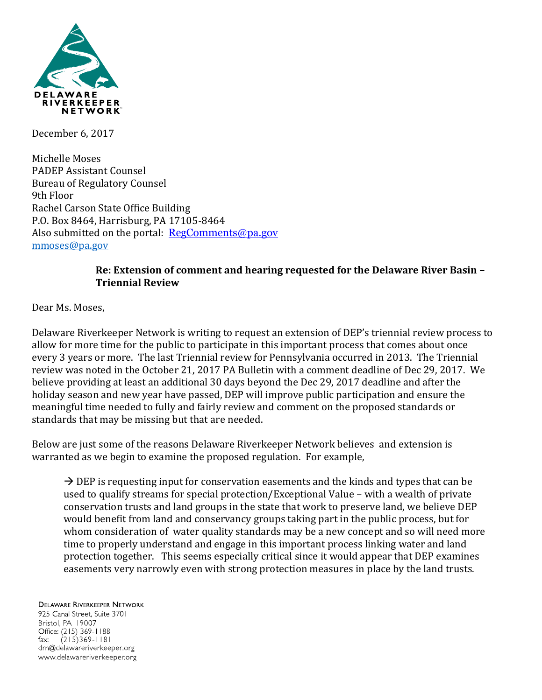

December 6, 2017

Michelle Moses PADEP Assistant Counsel Bureau of Regulatory Counsel 9th Floor Rachel Carson State Office Building P.O. Box 8464, Harrisburg, PA 17105-8464 Also submitted on the portal:  $RegComments@pa.gov$ [mmoses@pa.gov](mailto:mmoses@pa.gov)

## **Re: Extension of comment and hearing requested for the Delaware River Basin – Triennial Review**

Dear Ms. Moses,

Delaware Riverkeeper Network is writing to request an extension of DEP's triennial review process to allow for more time for the public to participate in this important process that comes about once every 3 years or more. The last Triennial review for Pennsylvania occurred in 2013. The Triennial review was noted in the October 21, 2017 PA Bulletin with a comment deadline of Dec 29, 2017. We believe providing at least an additional 30 days beyond the Dec 29, 2017 deadline and after the holiday season and new year have passed, DEP will improve public participation and ensure the meaningful time needed to fully and fairly review and comment on the proposed standards or standards that may be missing but that are needed.

Below are just some of the reasons Delaware Riverkeeper Network believes and extension is warranted as we begin to examine the proposed regulation. For example,

 $\rightarrow$  DEP is requesting input for conservation easements and the kinds and types that can be used to qualify streams for special protection/Exceptional Value – with a wealth of private conservation trusts and land groups in the state that work to preserve land, we believe DEP would benefit from land and conservancy groups taking part in the public process, but for whom consideration of water quality standards may be a new concept and so will need more time to properly understand and engage in this important process linking water and land protection together. This seems especially critical since it would appear that DEP examines easements very narrowly even with strong protection measures in place by the land trusts.

**DELAWARE RIVERKEEPER NETWORK** 

925 Canal Street, Suite 3701 Bristol, PA 19007 Office: (215) 369-1188 fax:  $(215)369 - 1181$ drn@delawareriverkeeper.org www.delawareriverkeeper.org